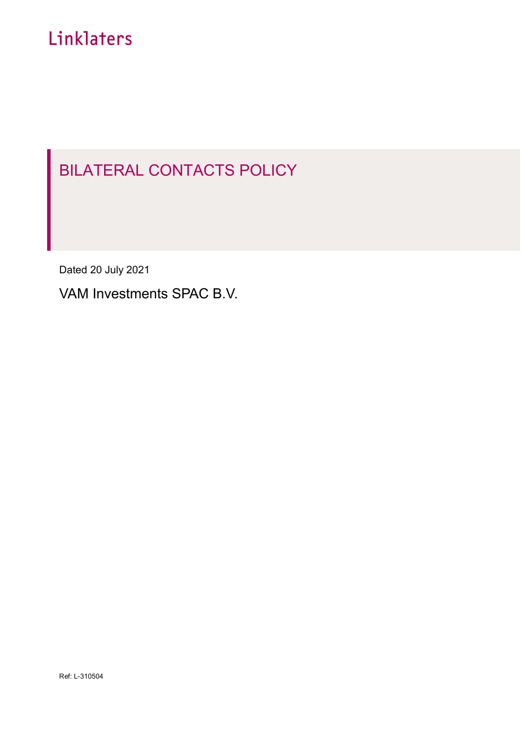# Linklaters

## BILATERAL CONTACTS POLICY

Dated 20 July 2021

VAM Investments SPAC B.V.